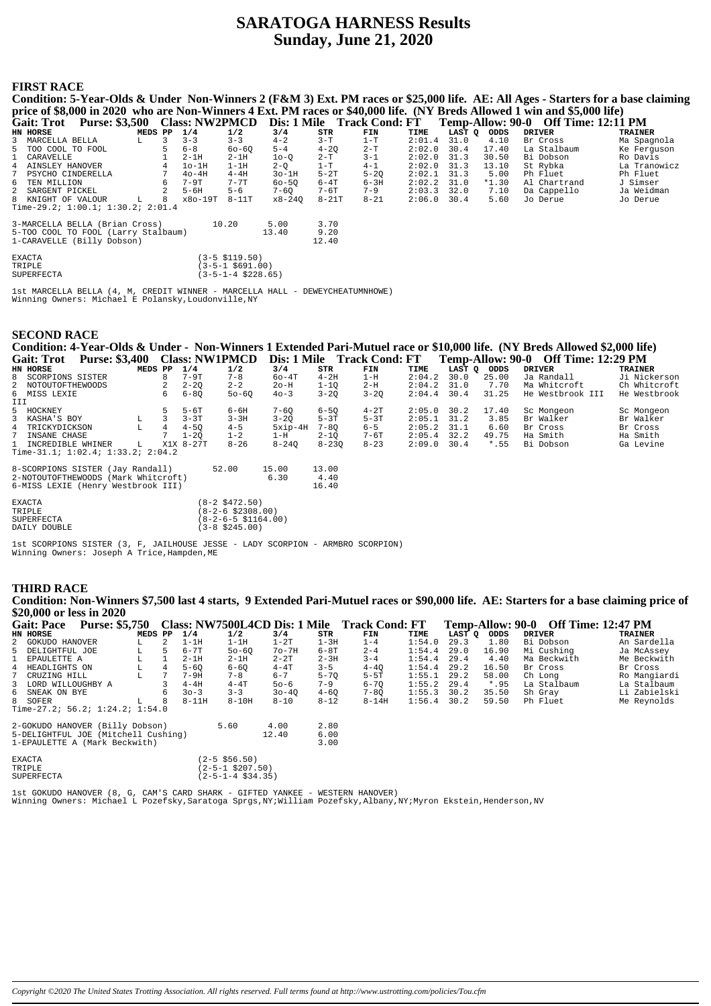# **SARATOGA HARNESS Results Sunday, June 21, 2020**

## **FIRST RACE**

| Condition: 5-Year-Olds & Under Non-Winners 2 (F&M 3) Ext. PM races or \$25,000 life. AE: All Ages - Starters for a base claiming |   |             |          |                    |           |           |                                           |        |        |         |                                     |              |
|----------------------------------------------------------------------------------------------------------------------------------|---|-------------|----------|--------------------|-----------|-----------|-------------------------------------------|--------|--------|---------|-------------------------------------|--------------|
| price of \$8,000 in 2020 who are Non-Winners 4 Ext. PM races or \$40,000 life. (NY Breds Allowed 1 win and \$5,000 life)         |   |             |          |                    |           |           |                                           |        |        |         |                                     |              |
| Gait: Trot Purse: \$3,500                                                                                                        |   |             |          |                    |           |           | Class: NW2PMCD Dis: 1 Mile Track Cond: FT |        |        |         | Temp-Allow: 90-0 Off Time: 12:11 PM |              |
| HN HORSE                                                                                                                         |   | MEDS PP     | 1/4      | 1/2                | 3/4       | STR       | FIN                                       | TIME   | LAST O | ODDS    | <b>DRIVER</b>                       | TRAINER      |
| 3 MARCELLA BELLA                                                                                                                 | L |             | $3 - 3$  | $3 - 3$            | $4 - 2$   | $3-T$     | $1-T$                                     | 2:01.4 | 31.0   | 4.10    | Br Cross                            | Ma Spagnola  |
| 5 TOO COOL TO FOOL                                                                                                               |   |             | $6 - 8$  | $60 - 60$          | $5 - 4$   | $4 - 20$  | $2-T$                                     | 2:02.0 | 30.4   | 17.40   | La Stalbaum                         | Ke Ferquson  |
| 1 CARAVELLE                                                                                                                      |   |             | $2-1H$   | $2-1H$             | $10-0$    | 2-T       | $3 - 1$                                   | 2:02.0 | 31.3   | 30.50   | Bi Dobson                           | Ro Davis     |
| 4 AINSLEY HANOVER                                                                                                                |   |             | $1o-1H$  | $1-1H$             | $2 - 0$   | $1-T$     | $4 - 1$                                   | 2:02.0 | 31.3   | 13.10   | St Rybka                            | La Tranowicz |
| PSYCHO CINDERELLA<br>7                                                                                                           |   |             | $40-4H$  | $4-4H$             | $3o-1H$   | $5-2T$    | $5 - 20$                                  | 2:02.1 | 31.3   | 5.00    | Ph Fluet                            | Ph Fluet     |
| 6 TEN MILLION                                                                                                                    |   |             | 7-9T     | $7 - 7$ T          | $60 - 50$ | $6-4T$    | 6-3H                                      | 2:02.2 | 31.0   | $*1.30$ | Al Chartrand                        | J Simser     |
| 2 SARGENT PICKEL                                                                                                                 |   | $2^{\circ}$ | $5 - 6H$ | $5 - 6$            | 7-60      | 7-6T      | $7 - 9$                                   | 2:03.3 | 32.0   | 7.10    | Da Cappello                         | Ja Weidman   |
| 8 KNIGHT OF VALOUR                                                                                                               | L | -8          | x8o-19T  | $8-11T$            | x8-240    | $8 - 21T$ | $8 - 21$                                  | 2:06.0 | 30.4   | 5.60    | Jo Derue                            | Jo Derue     |
| Time-29.2; $1:00.1$ ; $1:30.2$ ; $2:01.4$                                                                                        |   |             |          |                    |           |           |                                           |        |        |         |                                     |              |
| 3-MARCELLA BELLA (Brian Cross)                                                                                                   |   |             |          | 10.20              | 5.00      | 3.70      |                                           |        |        |         |                                     |              |
| 5-TOO COOL TO FOOL (Larry Stalbaum)                                                                                              |   |             |          |                    | 13.40     | 9.20      |                                           |        |        |         |                                     |              |
| 1-CARAVELLE (Billy Dobson)                                                                                                       |   |             |          |                    |           | 12.40     |                                           |        |        |         |                                     |              |
| <b>EXACTA</b>                                                                                                                    |   |             |          | (3-5 \$119.50)     |           |           |                                           |        |        |         |                                     |              |
| TRIPLE                                                                                                                           |   |             |          | (3-5-1 \$691.00)   |           |           |                                           |        |        |         |                                     |              |
| <b>SUPERFECTA</b>                                                                                                                |   |             |          | (3-5-1-4 \$228.65) |           |           |                                           |        |        |         |                                     |              |

Ist MARCELLA BELLA (4, M, CREDIT WINNER - MARCELLA HALL - DEWEYCHEATUMNHOWE)<br>Winning Owners: Michael E Polansky, Loudonville, NY

## **SECOND RACE**

|     |                    |         |       |          |           |           |          |          |               |        |             | Condition: 4-Year-Olds & Under - Non-Winners 1 Extended Pari-Mutuel race or \$10,000 life. (NY Breds Allowed \$2,000 life) |                |
|-----|--------------------|---------|-------|----------|-----------|-----------|----------|----------|---------------|--------|-------------|----------------------------------------------------------------------------------------------------------------------------|----------------|
|     |                    |         |       |          |           |           |          |          |               |        |             | Gait: Trot Purse: \$3,400 Class: NW1PMCD Dis: 1 Mile Track Cond: FT Temp-Allow: 90-0 Off Time: 12:29 PM                    |                |
|     | HN HORSE           | MEDS PP |       | 1/4      | 1/2       | 3/4       | STR      | FIN      | TIME          | LAST O | ODDS        | DRIVER                                                                                                                     | <b>TRAINER</b> |
|     | 8 SCORPIONS SISTER |         | 8     | $7-9T$   | $7 - 8$   | $60 - 4T$ | $4 - 2H$ | 1-н      | 2:04.2        | 30.0   | 25.00       | Ja Randall                                                                                                                 | Ji Nickerson   |
|     | 2 NOTOUTOFTHEWOODS |         | 2     | $2 - 20$ | $2 - 2$   | $2o-H$    | $1 - 10$ | 2-H      | $2:04.2$ 31.0 |        | 7.70        | Ma Whitcroft                                                                                                               | Ch Whitcroft   |
|     | 6 MISS LEXIE       |         | 6     | $6 - 80$ | $50 - 60$ | $40 - 3$  | $3 - 20$ | $3 - 20$ | $2:04.4$ 30.4 |        | 31.25       | He Westbrook III                                                                                                           | He Westbrook   |
| III |                    |         |       |          |           |           |          |          |               |        |             |                                                                                                                            |                |
|     | 5 HOCKNEY          |         | $5 -$ | $5 - 6T$ | $6 - 6H$  | 7-60      | $6 - 50$ | $4-2T$   | 2:05.0        | 30.2   | 17.40       | Sc Mongeon                                                                                                                 | Sc Mongeon     |
|     | 3 KASHA'S ROY      |         |       | $2 - 3T$ | $3 - 3H$  | $3 - 20$  | $5 - 3T$ | $5 - 3T$ | $2:05$ 1 31 2 |        | <b>3 85</b> | Br Walker                                                                                                                  | Br Walker      |

| 3 KASHA'S BOY                                                           |    | $3 - 3T$  | $3 - 3H$ | $3 - 20$      | $5-3T$        | $5-3T$   | $2:05.1$ 31.2 | 3.85   | Br Walker | Br Walker |
|-------------------------------------------------------------------------|----|-----------|----------|---------------|---------------|----------|---------------|--------|-----------|-----------|
| 4 TRICKYDICKSON                                                         | -4 | $4 - 50$  | $4 - 5$  | 5xip-4H       | $7 - 80$      | $6 - 5$  | $2:05.2$ 31.1 | 6.60   | Br Cross  | Br Cross  |
| 7 INSANE CHASE                                                          |    | $1 - 20$  | $1 - 2$  | 1-H           | $2 - 10$      | $7-6T$   | $2:05.4$ 32.2 | 49.75  | Ha Smith  | Ha Smith  |
| 1 INCREDIBLE WHINER<br>Time-31.1; $1:02.4$ ; $1:33.2$ ; $2:04.2$        |    | X1X 8-27T | $8 - 26$ | $8 - 240$     | $8 - 230$     | $8 - 23$ | $2:09.0$ 30.4 | $*.55$ | Bi Dobson | Ga Levine |
| 8-SCORPIONS SISTER (Jay Randall)<br>2-NOTOUTOFTHEWOODS (Mark Whiteroft) |    |           | 52.00    | 15.00<br>6.30 | 13.00<br>4.40 |          |               |        |           |           |

| 2-NOTOUTOFTHEWOODS (Mark Whitcroft)<br>6-MISS LEXIE (Henry Westbrook III) | 6.30                   | 4.40<br>16.40 |
|---------------------------------------------------------------------------|------------------------|---------------|
| <b>EXACTA</b>                                                             | $(8-2 \space $472.50)$ |               |
| $mn \tau n \tau n$                                                        | (0, 0, 0, 0, 0, 0)     |               |

| $\Box$       | $\sqrt{0}$ $\sqrt{2}$ $\sqrt{2}$ $\sqrt{2}$ $\sqrt{0}$ $\sqrt{0}$ $\sqrt{0}$ |
|--------------|------------------------------------------------------------------------------|
| SUPERFECTA   | $(8-2-6-5 \text{ } $1164.00)$                                                |
| DAILY DOUBLE | $(3-8 \space $245.00)$                                                       |

1st SCORPIONS SISTER (3, F, JAILHOUSE JESSE - LADY SCORPION - ARMBRO SCORPION)<br>Winning Owners: Joseph A Trice, Hampden, ME

# **THIRD RACE**

Condition: Non-Winners \$7,500 last 4 starts, 9 Extended Pari-Mutuel races or \$90,000 life. AE: Starters for a base claiming price of \$20,000 or less in 2020<br>\$20,000 or less in 2020  $\alpha$  or  $\pi$ <sup>\*</sup>  $\sim$ 

| <b>Gait: Pace</b>                                                    | <b>Purse: \$5,750</b> |    |         |    |           | Class: NW7500L4CD Dis: 1 Mile |           |              | <b>Track Cond: FT</b> |               |        | Temp-Allow: 90-0 |               | <b>Off Time: 12:47 PM</b> |
|----------------------------------------------------------------------|-----------------------|----|---------|----|-----------|-------------------------------|-----------|--------------|-----------------------|---------------|--------|------------------|---------------|---------------------------|
| HN HORSE                                                             |                       |    | MEDS PP |    | 1/4       | 1/2                           | 3/4       | STR          | FIN                   | TIME          | LAST O | ODDS             | <b>DRIVER</b> | TRAINER                   |
| 2 GOKUDO HANOVER                                                     |                       |    |         |    | 1-1H      | 1-1H                          | $1-2T$    | 1-3H         | 1-4                   | 1:54.0        | 29.3   | 1.80             | Bi Dobson     | An Sardella               |
| 5 DELIGHTFUL JOE                                                     |                       |    |         | 5. | $6 - 7T$  | $50 - 60$                     | $70-7H$   | $6 - 8T$     | $2 - 4$               | 1:54.4        | 29.0   | 16.90            | Mi Cushing    | Ja McAssey                |
| 1 EPAULETTE A                                                        |                       |    |         |    | $2-1H$    | $2-1H$                        | $2 - 2T$  | $2 - 3H$     | $3 - 4$               | 1:54.4        | 29.4   | 4.40             | Ma Beckwith   | Me Beckwith               |
| 4 HEADLIGHTS ON                                                      |                       |    |         | 4  | $5 - 60$  | $6 - 60$                      | $4-4T$    | $3 - 5$      | $4 - 40$              | 1:54.4        | 29.2   | 16.50            | Br Cross      | Br Cross                  |
| 7 CRUZING HILL                                                       |                       |    |         |    | $7-9H$    | $7 - 8$                       | $6 - 7$   | $5 - 70$     | $5-5T$                | 1:55.1        | 29.2   | 58.00            | Ch Long       | Ro Mangiardi              |
| 3 LORD WILLOUGHBY A                                                  |                       |    |         |    | $4-4H$    | $4-4T$                        | $50 - 6$  | $7 - 9$      | $6 - 70$              | $1:55.2$ 29.4 |        | $*$ .95          | La Stalbaum   | La Stalbaum               |
| 6 SNEAK ON BYE                                                       |                       |    |         |    | $30 - 3$  | $3 - 3$                       | $30 - 40$ | $4 - 60$     | $7 - 80$              | 1:55.3        | 30.2   | 35.50            | Sh Grav       | Li Zabielski              |
| 8 SOFER                                                              |                       | T. |         | 8. | $8 - 11H$ | $8-10H$                       | $8 - 10$  | $8 - 12$     | $8 - 14H$             | $1:56.4$ 30.2 |        | 59.50            | Ph Fluet      | Me Reynolds               |
| Time-27.2; $56.2; 1:24.2; 1:54.0$                                    |                       |    |         |    |           |                               |           |              |                       |               |        |                  |               |                           |
| 2-GOKUDO HANOVER (Billy Dobson)                                      |                       |    |         |    |           | 5.60                          | 4.00      | 2.80         |                       |               |        |                  |               |                           |
| 5-DELIGHTFUL JOE (Mitchell Cushing)<br>1-EPAULETTE A (Mark Beckwith) |                       |    |         |    |           |                               | 12.40     | 6.00<br>3.00 |                       |               |        |                  |               |                           |

| <b>EXACTA</b> | $(2 - 5 \ $56.50)$          |
|---------------|-----------------------------|
| TR TPLE       | $(2 - 5 - 1 \ $207.50)$     |
| SUPERFECTA    | $(2-5-1-4 \text{ } $34.35)$ |

lst GOKUDO HANOVER (8, G, CAM'S CARD SHARK – GIFTED YANKEE – WESTERN HANOVER)<br>Winning Owners: Michael L Pozefsky,Saratoga Sprgs,NY;William Pozefsky,Albany,NY;Myron Ekstein,Henderson,NV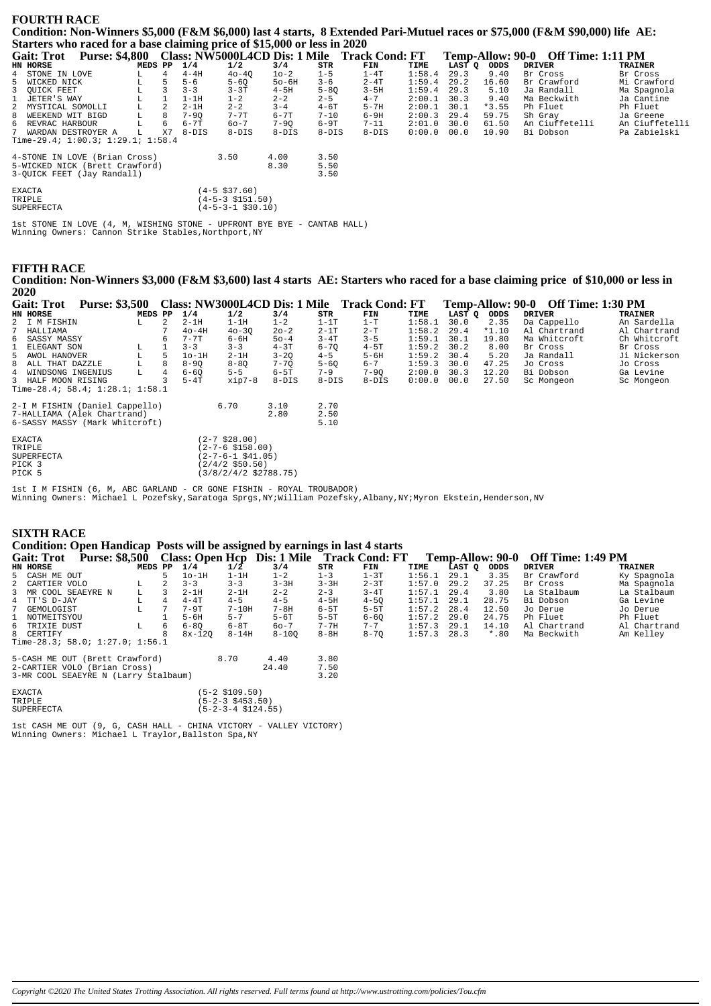#### **FOURTH RACE**

**Condition: Non-Winners \$5,000 (F&M \$6,000) last 4 starts, 8 Extended Pari-Mutuel races or \$75,000 (F&M \$90,000) life AE: Starters who raced for a base claiming price of \$15,000 or less in 2020**

| <b>Gait: Trot</b> | <b>Purse: \$4,800</b>                     |         |    |          |                   |          |          | Class: NW5000L4CD Dis: 1 Mile Track Cond: FT |        |        | Temp-Allow: 90-0 | <b>Off Time: 1:11 PM</b> |                |
|-------------------|-------------------------------------------|---------|----|----------|-------------------|----------|----------|----------------------------------------------|--------|--------|------------------|--------------------------|----------------|
| HN HORSE          |                                           | MEDS PP |    | 1/4      | 1/2               | 3/4      | STR      | FIN                                          | TIME   | LAST Q | ODDS             | <b>DRIVER</b>            | <b>TRAINER</b> |
|                   | 4 STONE IN LOVE                           |         | 4  | $4-4H$   | $40 - 40$         | $10 - 2$ | $1 - 5$  | $1 - 4T$                                     | 1:58.4 | 29.3   | 9.40             | Br Cross                 | Br Cross       |
| 5 WICKED NICK     |                                           | L       |    | $5 - 6$  | $5 - 60$          | $50-6H$  | $3 - 6$  | $2 - 4T$                                     | 1:59.4 | 29.2   | 16.60            | Br Crawford              | Mi Crawford    |
| 3 OUICK FEET      |                                           |         | 3  | $3 - 3$  | $3 - 3T$          | $4-5H$   | $5 - 80$ | $3-5H$                                       | 1:59.4 | 29.3   | 5.10             | Ja Randall               | Ma Spagnola    |
| 1 JETER'S WAY     |                                           |         |    | $1-1H$   | $1 - 2$           | $2 - 2$  | $2 - 5$  | $4 - 7$                                      | 2:00.1 | 30.3   | 9.40             | Ma Beckwith              | Ja Cantine     |
|                   | 2 MYSTICAL SOMOLLI                        | L       | 2  | $2-1H$   | $2 - 2$           | $3 - 4$  | $4 - 6T$ | $5 - 7H$                                     | 2:00.1 | 30.1   | $*3.55$          | Ph Fluet                 | Ph Fluet       |
|                   | 8 WEEKEND WIT BIGD                        |         | 8  | $7 - 90$ | $7 - 7T$          | $6 - 7T$ | $7 - 10$ | $6-9H$                                       | 2:00.3 | 29.4   | 59.75            | Sh Gray                  | Ja Greene      |
|                   | 6 REVRAC HARBOUR                          |         | 6  | $6 - 7T$ | $60 - 7$          | $7 - 90$ | 6-9T     | $7 - 11$                                     | 2:01.0 | 30.0   | 61.50            | An Ciuffetelli           | An Ciuffetelli |
|                   | 7 WARDAN DESTROYER A                      | L       | X7 | $8-DIS$  | $8-DIS$           | $8-DIS$  | $8-DIS$  | $8 - DIS$                                    | 0:00.0 | 00.0   | 10.90            | Bi Dobson                | Pa Zabielski   |
|                   | Time-29.4; $1:00.3$ ; $1:29.1$ ; $1:58.4$ |         |    |          |                   |          |          |                                              |        |        |                  |                          |                |
|                   | 4-STONE IN LOVE (Brian Cross)             |         |    |          | 3.50              | 4.00     | 3.50     |                                              |        |        |                  |                          |                |
|                   | 5-WICKED NICK (Brett Crawford)            |         |    |          |                   | 8.30     | 5.50     |                                              |        |        |                  |                          |                |
|                   | 3-OUICK FEET (Jay Randall)                |         |    |          |                   |          | 3.50     |                                              |        |        |                  |                          |                |
| <b>EXACTA</b>     |                                           |         |    |          | (4-5 \$37.60)     |          |          |                                              |        |        |                  |                          |                |
| TRIPLE            |                                           |         |    |          | (4-5-3 \$151.50)  |          |          |                                              |        |        |                  |                          |                |
| <b>SUPERFECTA</b> |                                           |         |    |          | (4-5-3-1 \$30.10) |          |          |                                              |        |        |                  |                          |                |

1st STONE IN LOVE (4, M, WISHING STONE - UPFRONT BYE BYE - CANTAB HALL) Winning Owners: Cannon Strike Stables, Northport, NY

#### **FIFTH RACE**

**Condition: Non-Winners \$3,000 (F&M \$3,600) last 4 starts AE: Starters who raced for a base claiming price of \$10,000 or less in 2020**

| <b>Gait: Trot</b>               | <b>Purse: \$3,500</b> |         |                |          |                                 | Class: NW3000L4CD Dis: 1 Mile Track Cond: FT |          |          |        |        |         | Temp-Allow: 90-0 Off Time: 1:30 PM |              |
|---------------------------------|-----------------------|---------|----------------|----------|---------------------------------|----------------------------------------------|----------|----------|--------|--------|---------|------------------------------------|--------------|
| HN HORSE                        |                       | MEDS PP |                | 1/4      | 1/2                             | 3/4                                          | STR      | FIN      | TIME   | LAST Q | ODDS    | <b>DRIVER</b>                      | TRAINER      |
| 2 I M FISHIN                    |                       | L       | $\overline{2}$ | $2-1H$   | $1-1H$                          | $1 - 2$                                      | $1-1T$   | $1-T$    | 1:58.1 | 30.0   | 2.35    | Da Cappello                        | An Sardella  |
| HALLIAMA                        |                       |         | 7              | $40-4H$  | $40 - 30$                       | $20 - 2$                                     | $2-1T$   | $2-T$    | 1:58.2 | 29.4   | $*1.10$ | Al Chartrand                       | Al Chartrand |
| 6 SASSY MASSY                   |                       |         | 6              | $7 - 7T$ | $6 - 6H$                        | $50 - 4$                                     | $3 - 4T$ | $3 - 5$  | 1:59.1 | 30.1   | 19.80   | Ma Whitcroft                       | Ch Whitcroft |
| ELEGANT SON                     |                       | L       |                | $3 - 3$  | $3 - 3$                         | $4-3T$                                       | $6 - 70$ | $4-5T$   | 1:59.2 | 30.2   | 8.00    | Br Cross                           | Br Cross     |
| 5 AWOL HANOVER                  |                       | L       | 5              | $1o-1H$  | $2-1H$                          | $3 - 2Q$                                     | $4 - 5$  | $5 - 6H$ | 1:59.2 | 30.4   | 5.20    | Ja Randall                         | Ji Nickerson |
| 8 ALL THAT DAZZLE               |                       | L       | 8              | $8 - 90$ | $8 - 80$                        | $7 - 7Q$                                     | $5 - 60$ | $6 - 7$  | 1:59.3 | 30.0   | 47.25   | Jo Cross                           | Jo Cross     |
| WINDSONG INGENIUS<br>4          |                       | L       |                | $6 - 60$ | $5 - 5$                         | $6-5T$                                       | $7 - 9$  | $7 - 90$ | 2:00.0 | 30.3   | 12.20   | Bi Dobson                          | Ga Levine    |
| 3 HALF MOON RISING              |                       |         |                | $5-4T$   | xip7-8                          | $8-DIS$                                      | $8-DIS$  | 8-DIS    | 0:00.0 | 00.0   | 27.50   | Sc Mongeon                         | Sc Mongeon   |
| Time-28.4; 58.4; 1:28.1; 1:58.1 |                       |         |                |          |                                 |                                              |          |          |        |        |         |                                    |              |
| 2-I M FISHIN (Daniel Cappello)  |                       |         |                |          | 6.70                            | 3.10                                         | 2.70     |          |        |        |         |                                    |              |
| 7-HALLIAMA (Alek Chartrand)     |                       |         |                |          |                                 | 2.80                                         | 2.50     |          |        |        |         |                                    |              |
| 6-SASSY MASSY (Mark Whitcroft)  |                       |         |                |          |                                 |                                              | 5.10     |          |        |        |         |                                    |              |
| <b>EXACTA</b>                   |                       |         |                |          | $(2 - 7 \ $28.00)$              |                                              |          |          |        |        |         |                                    |              |
| TRIPLE                          |                       |         |                |          | $(2 - 7 - 6 \ $158.00)$         |                                              |          |          |        |        |         |                                    |              |
| SUPERFECTA                      |                       |         |                |          | $(2 - 7 - 6 - 1 \ $41.05)$      |                                              |          |          |        |        |         |                                    |              |
| PICK 3                          |                       |         |                |          | $(2/4/2$ \$50.50)               |                                              |          |          |        |        |         |                                    |              |
| PICK 5                          |                       |         |                |          | $(3/8/2/4/2 \text{ } $2788.75)$ |                                              |          |          |        |        |         |                                    |              |
|                                 |                       |         |                |          |                                 |                                              |          |          |        |        |         |                                    |              |

1st I M FISHIN (6, M, ABC GARLAND - CR GONE FISHIN - ROYAL TROUBADOR) Winning Owners: Michael L Pozefsky, Saratoga Sprgs,NY;William Pozefsky,Albany,NY;Myron Ekstein,Henderson,NV

| <b>SIXTH RACE</b><br>Condition: Open Handicap Posts will be assigned by earnings in last 4 starts |         |   |          |                       |           |          |                                                                  |        |        |                  |                          |                |
|---------------------------------------------------------------------------------------------------|---------|---|----------|-----------------------|-----------|----------|------------------------------------------------------------------|--------|--------|------------------|--------------------------|----------------|
| <b>Gait: Trot</b>                                                                                 |         |   |          |                       |           |          | <b>Purse: \$8,500 Class: Open Hcp Dis: 1 Mile Track Cond: FT</b> |        |        | Temp-Allow: 90-0 | <b>Off Time: 1:49 PM</b> |                |
| HN HORSE                                                                                          | MEDS PP |   | 1/4      | $1/\overline{2}$      | 3/4       | STR      | FIN                                                              | TIME   | LAST Q | ODDS             | <b>DRIVER</b>            | <b>TRAINER</b> |
| 5 CASH ME OUT                                                                                     |         | 5 | $1o-1H$  | $1-1H$                | $1 - 2$   | $1 - 3$  | $1-3T$                                                           | 1:56.1 | 29.1   | 3.35             | Br Crawford              | Ky Spagnola    |
| 2 CARTIER VOLO                                                                                    | L       |   | $3 - 3$  | $3 - 3$               | $3 - 3H$  | $3 - 3H$ | $2 - 3T$                                                         | 1:57.0 | 29.2   | 37.25            | Br Cross                 | Ma Spagnola    |
| 3 MR COOL SEAEYRE N                                                                               | L.      | 3 | $2-1H$   | $2 - 1H$              | $2 - 2$   | $2 - 3$  | $3-4T$                                                           | 1:57.1 | 29.4   | 3.80             | La Stalbaum              | La Stalbaum    |
| 4 TT'S D-JAY                                                                                      | L       |   | $4 - 4T$ | $4 - 5$               | $4 - 5$   | $4-5H$   | $4 - 50$                                                         | 1:57.1 | 29.1   | 28.75            | Bi Dobson                | Ga Levine      |
| 7 GEMOLOGIST                                                                                      | L       |   | 7-9T     | $7-10H$               | 7-8H      | $6-5T$   | $5-5T$                                                           | 1:57.2 | 28.4   | 12.50            | Jo Derue                 | Jo Derue       |
| 1 NOTMEITSYOU                                                                                     |         |   | $5 - 6H$ | $5 - 7$               | $5-6T$    | $5-5T$   | $6 - 60$                                                         | 1:57.2 | 29.0   | 24.75            | Ph Fluet                 | Ph Fluet       |
| 6 TRIXIE DUST                                                                                     | L       | 6 | $6 - 80$ | 6-8T                  | $60 - 7$  | $7 - 7H$ | $7 - 7$                                                          | 1:57.3 | 29.1   | 14.10            | Al Chartrand             | Al Chartrand   |
| 8 CERTIFY                                                                                         |         |   | $8x-120$ | $8 - 14H$             | $8 - 100$ | $8-8H$   | $8 - 70$                                                         | 1:57.3 | 28.3   | $*$ .80          | Ma Beckwith              | Am Kelley      |
| Time-28.3; 58.0; 1:27.0; 1:56.1                                                                   |         |   |          |                       |           |          |                                                                  |        |        |                  |                          |                |
| 5-CASH ME OUT (Brett Crawford)                                                                    |         |   |          | 8.70                  | 4.40      | 3.80     |                                                                  |        |        |                  |                          |                |
| 2-CARTIER VOLO (Brian Cross)                                                                      |         |   |          |                       | 24.40     | 7.50     |                                                                  |        |        |                  |                          |                |
| 3-MR COOL SEAEYRE N (Larry Stalbaum)                                                              |         |   |          |                       |           | 3.20     |                                                                  |        |        |                  |                          |                |
| <b>EXACTA</b>                                                                                     |         |   |          | $(5-2 \; $109.50)$    |           |          |                                                                  |        |        |                  |                          |                |
| TRIPLE                                                                                            |         |   |          | $(5-2-3 \; $453.50)$  |           |          |                                                                  |        |        |                  |                          |                |
| SUPERFECTA                                                                                        |         |   |          | $(5-2-3-4 \ $124.55)$ |           |          |                                                                  |        |        |                  |                          |                |

1st CASH ME OUT (9, G, CASH HALL - CHINA VICTORY - VALLEY VICTORY) Winning Owners: Michael L Traylor,Ballston Spa,NY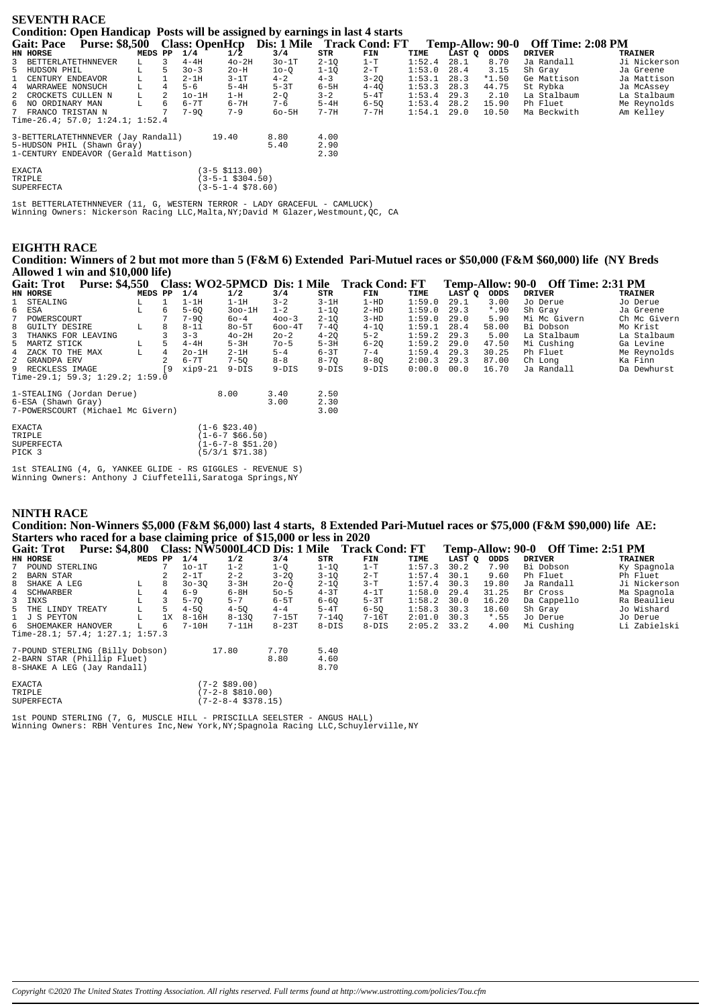| <b>SEVENTH RACE</b>                                                          |                                                 |  |  |        |  |
|------------------------------------------------------------------------------|-------------------------------------------------|--|--|--------|--|
| Condition: Open Handicap Posts will be assigned by earnings in last 4 starts |                                                 |  |  |        |  |
| $\sim$ $\sim$ $\sim$                                                         | $\triangle$ $\triangle$ $\triangle$ $\triangle$ |  |  | $\sim$ |  |

| <b>Gait: Pace</b>    | <b>Purse: \$8,500</b>                |         |   | <b>Class: OpenHcp</b> |                           | Dis: 1 Mile Track Cond: FT |          |          |        |        | Temp-Allow: 90-0 | Off Time: 2:08 PM |                |
|----------------------|--------------------------------------|---------|---|-----------------------|---------------------------|----------------------------|----------|----------|--------|--------|------------------|-------------------|----------------|
| HN HORSE             |                                      | MEDS PP |   | 1/4                   | $1/\overline{2}$          | 3/4                        | STR      | FIN      | TIME   | LAST Q | ODDS             | <b>DRIVER</b>     | <b>TRAINER</b> |
| 3 BETTERLATETHNNEVER |                                      | L.      | 3 | $4-4H$                | $4o-2H$                   | $30-1T$                    | $2 - 10$ | $1-T$    | 1:52.4 | 28.1   | 8.70             | Ja Randall        | Ji Nickerson   |
| 5 HUDSON PHIL        |                                      | L       | 5 | $30 - 3$              | $2o-H$                    | $10-0$                     | $1 - 10$ | $2 - T$  | 1:53.0 | 28.4   | 3.15             | Sh Gray           | Ja Greene      |
| 1 CENTURY ENDEAVOR   |                                      |         |   | $2-1H$                | $3-1T$                    | $4 - 2$                    | $4 - 3$  | $3 - 20$ | 1:53.1 | 28.3   | $*1.50$          | Ge Mattison       | Ja Mattison    |
| 4 WARRAWEE NONSUCH   |                                      | L       | 4 | $5 - 6$               | $5-4H$                    | $5-3T$                     | $6-5H$   | $4 - 40$ | 1:53.3 | 28.3   | 44.75            | St Rybka          | Ja McAssey     |
| 2 CROCKETS CULLEN N  |                                      | L.      | 2 | $1o-1H$               | 1-H                       | $2 - Q$                    | $3 - 2$  | $5-4T$   | 1:53.4 | 29.3   | 2.10             | La Stalbaum       | La Stalbaum    |
| 6 NO ORDINARY MAN    |                                      | L.      | 6 | 6-7T                  | $6 - 7H$                  | $7 - 6$                    | $5-4H$   | $6 - 50$ | 1:53.4 | 28.2   | 15.90            | Ph Fluet          | Me Reynolds    |
| 7 FRANCO TRISTAN N   |                                      |         |   | $7 - 90$              | $7 - 9$                   | $60 - 5H$                  | $7 - 7H$ | $7 - 7H$ | 1:54.1 | 29.0   | 10.50            | Ma Beckwith       | Am Kelley      |
|                      | Time-26.4; 57.0; 1:24.1; 1:52.4      |         |   |                       |                           |                            |          |          |        |        |                  |                   |                |
|                      | 3-BETTERLATETHNNEVER (Jay Randall)   |         |   | 19.40                 |                           | 8.80                       | 4.00     |          |        |        |                  |                   |                |
|                      | 5-HUDSON PHIL (Shawn Gray)           |         |   |                       |                           | 5.40                       | 2.90     |          |        |        |                  |                   |                |
|                      | 1-CENTURY ENDEAVOR (Gerald Mattison) |         |   |                       |                           |                            | 2.30     |          |        |        |                  |                   |                |
|                      |                                      |         |   |                       |                           |                            |          |          |        |        |                  |                   |                |
| <b>EXACTA</b>        |                                      |         |   |                       | $(3-5 \; \text{S}113.00)$ |                            |          |          |        |        |                  |                   |                |
| TRIPLE               |                                      |         |   |                       | (3-5-1 \$304.50)          |                            |          |          |        |        |                  |                   |                |
| SUPERFECTA           |                                      |         |   |                       | $(3-5-1-4$ \$78.60)       |                            |          |          |        |        |                  |                   |                |

1st BETTERLATETHNNEVER (11, G, WESTERN TERROR - LADY GRACEFUL - CAMLUCK) Winning Owners: Nickerson Racing LLC,Malta,NY;David M Glazer,Westmount,QC, CA

### **EIGHTH RACE**

**Condition: Winners of 2 but mot more than 5 (F&M 6) Extended Pari-Mutuel races or \$50,000 (F&M \$60,000) life (NY Breds Allowed 1 win and \$10,000 life)**

| <b>Gait: Trot</b>                 | <b>Purse: \$4,550</b> |         |     |           |                             |            |          | Class: WO2-5PMCD Dis: 1 Mile Track Cond: FT |        |        |         | Temp-Allow: 90-0 Off Time: 2:31 PM |                |
|-----------------------------------|-----------------------|---------|-----|-----------|-----------------------------|------------|----------|---------------------------------------------|--------|--------|---------|------------------------------------|----------------|
| HN HORSE                          |                       | MEDS PP |     | 1/4       | 1/2                         | 3/4        | STR      | FIN                                         | TIME   | LAST O | ODDS    | <b>DRIVER</b>                      | <b>TRAINER</b> |
| 1 STEALING                        |                       | L       |     | $1-1H$    | $1-1H$                      | $3 - 2$    | $3-1H$   | $1-HD$                                      | 1:59.0 | 29.1   | 3.00    | Jo Derue                           | Jo Derue       |
| ESA<br>6                          |                       | г       | 6   | $5 - 60$  | $300-1H$                    | $1 - 2$    | $1 - 10$ | $2-HD$                                      | 1:59.0 | 29.3   | $*$ .90 | Sh Gray                            | Ja Greene      |
| POWERSCOURT                       |                       |         |     | $7 - 90$  | 60-4                        | $400 - 3$  | $2 - 10$ | $3 - HD$                                    | 1:59.0 | 29.0   | 5.90    | Mi Mc Givern                       | Ch Mc Givern   |
| GUILTY DESIRE<br>8                |                       | г       | 8   | $8 - 11$  | $80 - 5T$                   | $600 - 4T$ | $7 - 40$ | $4 - 1Q$                                    | 1:59.1 | 28.4   | 58.00   | Bi Dobson                          | Mo Krist       |
| THANKS FOR LEAVING<br>3.          |                       |         |     | $3 - 3$   | $40-2H$                     | 20-2       | $4 - 20$ | $5 - 2$                                     | 1:59.2 | 29.3   | 5.00    | La Stalbaum                        | La Stalbaum    |
| 5 MARTZ STICK                     |                       | L       | 5   | $4-4H$    | $5-3H$                      | $70 - 5$   | $5-3H$   | $6 - 20$                                    | 1:59.2 | 29.0   | 47.50   | Mi Cushing                         | Ga Levine      |
| 4 ZACK TO THE MAX                 |                       | L       | 4   | $2o-1H$   | $2-1H$                      | $5 - 4$    | $6-3T$   | $7 - 4$                                     | 1:59.4 | 29.3   | 30.25   | Ph Fluet                           | Me Reynolds    |
| 2 GRANDPA ERV                     |                       |         |     | $6 - 7T$  | $7 - 50$                    | $8 - 8$    | $8 - 70$ | $8 - 80$                                    | 2:00.3 | 29.3   | 87.00   | Ch Long                            | Ka Finn        |
| 9 RECKLESS IMAGE                  |                       |         | í 9 | $xip9-21$ | $9-DIS$                     | $9-DIS$    | $9-DIS$  | $9-DIS$                                     | 0:00.0 | 00.0   | 16.70   | Ja Randall                         | Da Dewhurst    |
| Time-29.1; 59.3; 1:29.2; 1:59.0   |                       |         |     |           |                             |            |          |                                             |        |        |         |                                    |                |
|                                   |                       |         |     |           |                             |            |          |                                             |        |        |         |                                    |                |
| 1-STEALING (Jordan Derue)         |                       |         |     |           | 8.00                        | 3.40       | 2.50     |                                             |        |        |         |                                    |                |
| 6-ESA (Shawn Gray)                |                       |         |     |           |                             | 3.00       | 2.30     |                                             |        |        |         |                                    |                |
| 7-POWERSCOURT (Michael Mc Givern) |                       |         |     |           |                             |            | 3.00     |                                             |        |        |         |                                    |                |
| <b>EXACTA</b>                     |                       |         |     |           | $(1-6 \; $23.40)$           |            |          |                                             |        |        |         |                                    |                |
| TRIPLE                            |                       |         |     |           | $(1 - 6 - 7 \ $66.50)$      |            |          |                                             |        |        |         |                                    |                |
| SUPERFECTA                        |                       |         |     |           | $(1-6-7-8 \text{ } $51.20)$ |            |          |                                             |        |        |         |                                    |                |
| PICK 3                            |                       |         |     |           | (5/3/1 \$71.38)             |            |          |                                             |        |        |         |                                    |                |
|                                   |                       |         |     |           |                             |            |          |                                             |        |        |         |                                    |                |

| SUPERFECTA |  |
|------------|--|
|            |  |

1st STEALING (4, G, YANKEE GLIDE - RS GIGGLES - REVENUE S) Winning Owners: Anthony J Ciuffetelli,Saratoga Springs,NY

#### **NINTH RACE**

**Condition: Non-Winners \$5,000 (F&M \$6,000) last 4 starts, 8 Extended Pari-Mutuel races or \$75,000 (F&M \$90,000) life AE: Starters who raced for a base claiming price of \$15,000 or less in 2020**

| <b>Gait: Trot</b>               | <b>Purse: \$4,800</b>           |         |    |           |                      |          |           | Class: NW5000L4CD Dis: 1 Mile Track Cond: FT |        |        | Temp-Allow: 90-0 | <b>Off Time: 2:51 PM</b> |              |
|---------------------------------|---------------------------------|---------|----|-----------|----------------------|----------|-----------|----------------------------------------------|--------|--------|------------------|--------------------------|--------------|
| HN HORSE                        |                                 | MEDS PP |    | 1/4       | 1/2                  | 3/4      | STR       | FIN                                          | TIME   | LAST Q | ODDS             | <b>DRIVER</b>            | TRAINER      |
| 7 POUND STERLING                |                                 |         | 7  | $10-1T$   | $1 - 2$              | $1-Q$    | $1 - 10$  | $1-T$                                        | 1:57.3 | 30.2   | 7.90             | Bi Dobson                | Ky Spagnola  |
| 2 BARN STAR                     |                                 |         |    | $2-1T$    | $2 - 2$              | $3 - 20$ | $3 - 10$  | $2-T$                                        | 1:57.4 | 30.1   | 9.60             | Ph Fluet                 | Ph Fluet     |
| 8 SHAKE A LEG                   |                                 | L       | 8  | $30 - 30$ | $3 - 3H$             | $20 - 0$ | $2 - 10$  | $3-T$                                        | 1:57.4 | 30.3   | 19.80            | Ja Randall               | Ji Nickerson |
| 4 SCHWARBER                     |                                 | L       | 4  | $6 - 9$   | $6-8H$               | $50 - 5$ | $4-3T$    | $4-1T$                                       | 1:58.0 | 29.4   | 31.25            | Br Cross                 | Ma Spagnola  |
| 3 INXS                          |                                 | L       | 3  | $5 - 70$  | $5 - 7$              | $6-5T$   | $6 - 60$  | $5-3T$                                       | 1:58.2 | 30.0   | 16.20            | Da Cappello              | Ra Beaulieu  |
| 5 THE LINDY TREATY              |                                 | L       | 5. | $4 - 50$  | $4 - 50$             | $4 - 4$  | $5-4T$    | $6 - 50$                                     | 1:58.3 | 30.3   | 18.60            | Sh Gray                  | Jo Wishard   |
| 1 J S PEYTON                    |                                 | L       | 1X | $8 - 16H$ | $8 - 130$            | $7-15T$  | $7 - 140$ | $7-16T$                                      | 2:01.0 | 30.3   | $*$ .55          | Jo Derue                 | Jo Derue     |
| 6 SHOEMAKER HANOVER             |                                 | L       | 6  | $7-10H$   | $7-11H$              | $8-23T$  | $8-DIS$   | $8-DIS$                                      | 2:05.2 | 33.2   | 4.00             | Mi Cushing               | Li Zabielski |
|                                 | Time-28.1; 57.4; 1:27.1; 1:57.3 |         |    |           |                      |          |           |                                              |        |        |                  |                          |              |
| 7-POUND STERLING (Billy Dobson) |                                 |         |    |           | 17.80                | 7.70     | 5.40      |                                              |        |        |                  |                          |              |
|                                 | 2-BARN STAR (Phillip Fluet)     |         |    |           |                      | 8.80     | 4.60      |                                              |        |        |                  |                          |              |
|                                 | 8-SHAKE A LEG (Jay Randall)     |         |    |           |                      |          | 8.70      |                                              |        |        |                  |                          |              |
| <b>EXACTA</b>                   |                                 |         |    |           | $(7-2$ \$89.00)      |          |           |                                              |        |        |                  |                          |              |
| TRIPLE                          |                                 |         |    |           | (7-2-8 \$810.00)     |          |           |                                              |        |        |                  |                          |              |
| <b>SUPERFECTA</b>               |                                 |         |    |           | $(7-2-8-4$ \$378.15) |          |           |                                              |        |        |                  |                          |              |

1st POUND STERLING (7, G, MUSCLE HILL - PRISCILLA SEELSTER - ANGUS HALL) Winning Owners: RBH Ventures Inc, New York, NY; Spagnola Racing LLC, Schuylerville, NY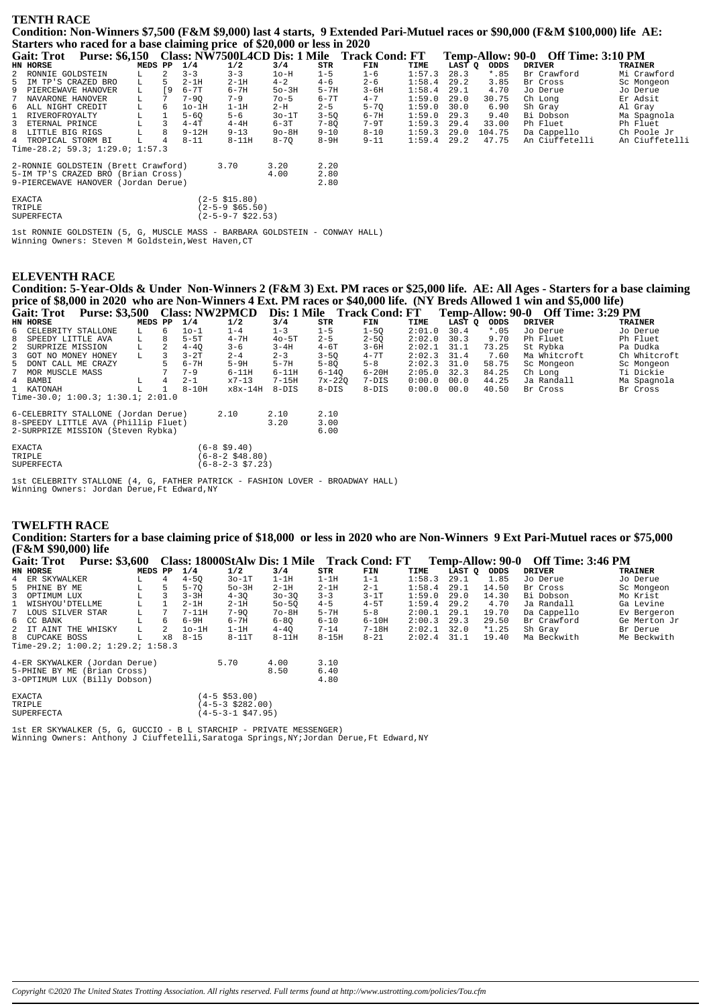#### **TENTH RACE**

Condition: Non-Winners \$7,500 (F&M \$9,000) last 4 starts, 9 Extended Pari-Mutuel races or \$90,000 (F&M \$100,000) life AE: Starters who raced for a base claiming price of \$20,000 or less in 2020

|              |                      |                                     |         |                 |           |                            |          |          | Gait: Trot Purse: \$6,150 Class: NW7500L4CD Dis: 1 Mile Track Cond: FT |        |        |         | Temp-Allow: 90-0 Off Time: 3:10 PM |                |
|--------------|----------------------|-------------------------------------|---------|-----------------|-----------|----------------------------|----------|----------|------------------------------------------------------------------------|--------|--------|---------|------------------------------------|----------------|
|              | HN HORSE             |                                     | MEDS PP |                 | 1/4       | 1/2                        | 3/4      | STR      | FIN                                                                    | TIME   | LAST O | ODDS    | <b>DRIVER</b>                      | <b>TRAINER</b> |
|              | 2 RONNIE GOLDSTEIN   |                                     |         | $\mathfrak{D}$  | $3 - 3$   | $3 - 3$                    | $1o-H$   | $1 - 5$  | $1 - 6$                                                                | 1:57.3 | 28.3   | $*$ .85 | Br Crawford                        | Mi Crawford    |
|              | 5 IM TP'S CRAZED BRO |                                     | L       | 5.              | $2-1H$    | $2-1H$                     | $4 - 2$  | $4 - 6$  | $2 - 6$                                                                | 1:58.4 | 29.2   | 3.85    | Br Cross                           | Sc Mongeon     |
|              | 9 PIERCEWAVE HANOVER |                                     | L       | ſ9              | $6 - 7T$  | $6 - 7H$                   | $50-3H$  | $5 - 7H$ | $3 - 6H$                                                               | 1:58.4 | 29.1   | 4.70    | Jo Derue                           | Jo Derue       |
|              | 7 NAVARONE HANOVER   |                                     | L       | $7\overline{ }$ | $7 - 90$  | $7 - 9$                    | $70 - 5$ | 6-7T     | $4 - 7$                                                                | 1:59.0 | 29.0   | 30.75   | Ch Long                            | Er Adsit       |
|              | 6 ALL NIGHT CREDIT   |                                     | L       | 6               | $1o-1H$   | $1-1H$                     | 2-H      | $2 - 5$  | $5 - 70$                                                               | 1:59.0 | 30.0   | 6.90    | Sh Gray                            | Al Gray        |
| $\mathbf{1}$ | RIVEROFROYALTY       |                                     | L.      |                 | $5 - 60$  | $5 - 6$                    | $30-1T$  | $3 - 50$ | 6-7H                                                                   | 1:59.0 | 29.3   | 9.40    | Bi Dobson                          | Ma Spagnola    |
|              | 3 ETERNAL PRINCE     |                                     | L       |                 | $4-4T$    | $4-4H$                     | $6-3T$   | $7 - 80$ | $7-9T$                                                                 | 1:59.3 | 29.4   | 33.00   | Ph Fluet                           | Ph Fluet       |
|              | 8 LITTLE BIG RIGS    |                                     | L       | 8               | $9 - 12H$ | $9 - 13$                   | $90-8H$  | $9 - 10$ | 8-10                                                                   | 1:59.3 | 29.0   | 104.75  | Da Cappello                        | Ch Poole Jr    |
|              | 4 TROPICAL STORM BI  |                                     | L       | 4               | $8 - 11$  | $8 - 11H$                  | $8 - 70$ | $8-9H$   | $9 - 11$                                                               | 1:59.4 | 29.2   | 47.75   | An Ciuffetelli                     | An Ciuffetelli |
|              |                      | Time-28.2; 59.3; 1:29.0; 1:57.3     |         |                 |           |                            |          |          |                                                                        |        |        |         |                                    |                |
|              |                      | 2-RONNIE GOLDSTEIN (Brett Crawford) |         |                 |           | 3.70                       | 3.20     | 2.20     |                                                                        |        |        |         |                                    |                |
|              |                      | 5-IM TP'S CRAZED BRO (Brian Cross)  |         |                 |           |                            | 4.00     | 2.80     |                                                                        |        |        |         |                                    |                |
|              |                      | 9-PIERCEWAVE HANOVER (Jordan Derue) |         |                 |           |                            |          | 2.80     |                                                                        |        |        |         |                                    |                |
|              | <b>EXACTA</b>        |                                     |         |                 |           | $(2 - 5 \, \text{S}15.80)$ |          |          |                                                                        |        |        |         |                                    |                |
|              | TRIPLE               |                                     |         |                 |           | (2-5-9 \$65.50)            |          |          |                                                                        |        |        |         |                                    |                |
|              | <b>SUPERFECTA</b>    |                                     |         |                 |           | (2-5-9-7 \$22.53)          |          |          |                                                                        |        |        |         |                                    |                |

1st RONNIE GOLDSTEIN (5, G, MUSCLE MASS - BARBARA GOLDSTEIN - CONWAY HALL) Winning Owners: Steven M Goldstein, West Haven, CT

# **ELEVENTH RACE**

Condition: 5-Year-Olds & Under Non-Winners 2 (F&M 3) Ext. PM races or \$25,000 life. AE: All Ages - Starters for a base claiming price of \$8,000 in 2020 who are Non-Winners 4 Ext. PM races or \$40,000 life. (NY Breds Allowed 1 win and \$5,000 life) Gait: Trot Purse: \$3.500 Class: NW2PMCD Dis: 1 Mile Track Cond: FT Temp-Allow: 90-0 Off Time: 3:29 PM

| Gail. 1100<br>$\blacksquare$ anse, \$9,900 class, in W21 MCD |         |   |           |                   |           |           | DIS. I MINE ITACK CONG. FI |               |        |         | $I$ can $I$ and $N$ . $\mathcal{I}$ $\mathcal{I}$ by $\mathcal{I}$ and $I$ and $I$ and $I$ and $I$ |              |
|--------------------------------------------------------------|---------|---|-----------|-------------------|-----------|-----------|----------------------------|---------------|--------|---------|----------------------------------------------------------------------------------------------------|--------------|
| HN HORSE                                                     | MEDS PP |   | 1/4       | 1/2               | 3/4       | STR       | FIN                        | TIME          | LAST Q | ODDS    | <b>DRIVER</b>                                                                                      | TRAINER      |
| 6 CELEBRITY STALLONE                                         | L       | 6 | 10-1      | $1 - 4$           | $1 - 3$   | $1 - 5$   | $1 - 50$                   | 2:01.0        | 30.4   | $*$ .05 | Jo Derue                                                                                           | Jo Derue     |
| 8 SPEEDY LITTLE AVA                                          | L.      | 8 | $5-5T$    | $4 - 7H$          | $40-5T$   | $2 - 5$   | $2 - 50$                   | 2:02.0        | 30.3   | 9.70    | Ph Fluet                                                                                           | Ph Fluet     |
| 2 SURPRIZE MISSION                                           | L       |   | $4 - 40$  | $3 - 6$           | $3 - 4H$  | $4 - 6T$  | $3 - 6H$                   | 2:02.1        | 31.1   | 73.25   | St Rybka                                                                                           | Pa Dudka     |
| 3 GOT NO MONEY HONEY                                         | L       |   | $3-2T$    | $2 - 4$           | $2 - 3$   | $3 - 50$  | $4 - 7T$                   | $2:02.3$ 31.4 |        | 7.60    | Ma Whitcroft                                                                                       | Ch Whitcroft |
| 5 DONT CALL ME CRAZY                                         |         |   | $6 - 7H$  | $5-9H$            | $5-7H$    | $5 - 80$  | $5 - 8$                    | 2:02.3        | 31.0   | 58.75   | Sc Mongeon                                                                                         | Sc Mongeon   |
| 7 MOR MUSCLE MASS                                            |         |   | $7 - 9$   | $6 - 11H$         | $6-11H$   | $6 - 140$ | $6 - 20H$                  | 2:05.0        | 32.3   | 84.25   | Ch Long                                                                                            | Ti Dickie    |
| 4 BAMBI                                                      | L       | 4 | $2 - 1$   | $x7 - 13$         | $7 - 15H$ | $7x-220$  | 7-DIS                      | 0:00.0        | 00.0   | 44.25   | Ja Randall                                                                                         | Ma Spagnola  |
| 1 KATONAH                                                    | L       |   | $8 - 10H$ | $x8x-14H$         | 8-DIS     | 8-DIS     | $8 - DIS$                  | 0:00.0        | 00.0   | 40.50   | Br Cross                                                                                           | Br Cross     |
| Time-30.0; $1:00.3$ ; $1:30.1$ ; $2:01.0$                    |         |   |           |                   |           |           |                            |               |        |         |                                                                                                    |              |
| 6-CELEBRITY STALLONE (Jordan Derue)                          |         |   |           | 2.10              | 2.10      | 2.10      |                            |               |        |         |                                                                                                    |              |
| 8-SPEEDY LITTLE AVA (Phillip Fluet)                          |         |   |           |                   | 3.20      | 3.00      |                            |               |        |         |                                                                                                    |              |
| 2-SURPRIZE MISSION (Steven Rybka)                            |         |   |           |                   |           | 6.00      |                            |               |        |         |                                                                                                    |              |
| <b>EXACTA</b>                                                |         |   |           | $(6 - 8, 59, 40)$ |           |           |                            |               |        |         |                                                                                                    |              |

 $(6-8$  \$9.40)<br>(6-8-2 \$48.80)<br>(6-8-2-3 \$7.23) TRIPLE SUPERFECTA

1st CELEBRITY STALLONE (4, G, FATHER PATRICK - FASHION LOVER - BROADWAY HALL)<br>Winning Owners: Jordan Derue,Ft Edward,NY

# **TWELFTH RACE**

Condition: Starters for a base claiming price of \$18,000 or less in 2020 who are Non-Winners 9 Ext Pari-Mutuel races or \$75,000 (F&M \$90,000) life

| <b>Gait: Trot</b>  | <b>Purse: \$3,600</b>                                                                        |    |         |    |          |                                                  | Class: 18000StAlw Dis: 1 Mile Track Cond: FT |                      |           |        |        | Temp-Allow: 90-0 | <b>Off Time: 3:46 PM</b> |                |
|--------------------|----------------------------------------------------------------------------------------------|----|---------|----|----------|--------------------------------------------------|----------------------------------------------|----------------------|-----------|--------|--------|------------------|--------------------------|----------------|
| HN HORSE           |                                                                                              |    | MEDS PP |    | 1/4      | 1/2                                              | 3/4                                          | STR                  | FIN       | TIME   | LAST O | ODDS             | <b>DRIVER</b>            | <b>TRAINER</b> |
| 4 ER SKYWALKER     |                                                                                              | L. |         | 4  | $4 - 50$ | $30-1T$                                          | $1-1H$                                       | $1-1H$               | $1 - 1$   | 1:58.3 | 29.1   | 1.85             | Jo Derue                 | Jo Derue       |
| 5 PHINE BY ME      |                                                                                              | L. |         | 5  | $5 - 70$ | $50-3H$                                          | $2-1H$                                       | $2-1H$               | $2 - 1$   | 1:58.4 | 29.1   | 14.50            | Br Cross                 | Sc Mongeon     |
| 3 OPTIMUM LUX      |                                                                                              | L  |         |    | $3 - 3H$ | $4 - 30$                                         | $30 - 30$                                    | $3 - 3$              | $3-1T$    | 1:59.0 | 29.0   | 14.30            | Bi Dobson                | Mo Krist       |
| 1 WISHYOU'DTELLME  |                                                                                              |    |         |    | $2-1H$   | $2-1H$                                           | $50 - 50$                                    | $4 - 5$              | $4-5T$    | 1:59.4 | 29.2   | 4.70             | Ja Randall               | Ga Levine      |
| 7 LOUS SILVER STAR |                                                                                              | L  |         |    | $7-11H$  | $7 - 90$                                         | $7o-8H$                                      | $5 - 7H$             | $5 - 8$   | 2:00.1 | 29.1   | 19.70            | Da Cappello              | Ev Bergeron    |
| 6 CC BANK          |                                                                                              | L  |         | 6  | 6-9H     | 6-7H                                             | $6 - 80$                                     | $6 - 10$             | $6-10H$   | 2:00.3 | 29.3   | 29.50            | Br Crawford              | Ge Merton Jr   |
|                    | 2 IT AINT THE WHISKY                                                                         | L  |         | 2  | $10-1H$  | $1-1H$                                           | $4 - 40$                                     | $7 - 14$             | $7 - 18H$ | 2:02.1 | 32.0   | $*1.25$          | Sh Grav                  | Br Derue       |
| 8 CUPCAKE BOSS     |                                                                                              | L  |         | x8 | $8 - 15$ | $8-11T$                                          | $8 - 11H$                                    | $8-15H$              | $8 - 21$  | 2:02.4 | 31.1   | 19.40            | Ma Beckwith              | Me Beckwith    |
|                    | Time-29.2; $1:00.2$ ; $1:29.2$ ; $1:58.3$                                                    |    |         |    |          |                                                  |                                              |                      |           |        |        |                  |                          |                |
|                    | 4-ER SKYWALKER (Jordan Derue)<br>5-PHINE BY ME (Brian Cross)<br>3-OPTIMUM LUX (Billy Dobson) |    |         |    |          | 5.70                                             | 4.00<br>8.50                                 | 3.10<br>6.40<br>4.80 |           |        |        |                  |                          |                |
| EXACTA<br>TRIPLE   |                                                                                              |    |         |    |          | $(4 - 5 \ $53.00)$<br>$(4-5-3 \text{ } $282.00)$ |                                              |                      |           |        |        |                  |                          |                |

 $(4-5-3-1$ \$47.95) **SUPERFECTA** 

Ist ER SKYWALKER (5, G, GUCCIO - B L STARCHIP - PRIVATE MESSENGER)<br>Winning Owners: Anthony J Ciuffetelli,Saratoga Springs,NY;Jordan Derue,Ft Edward,NY